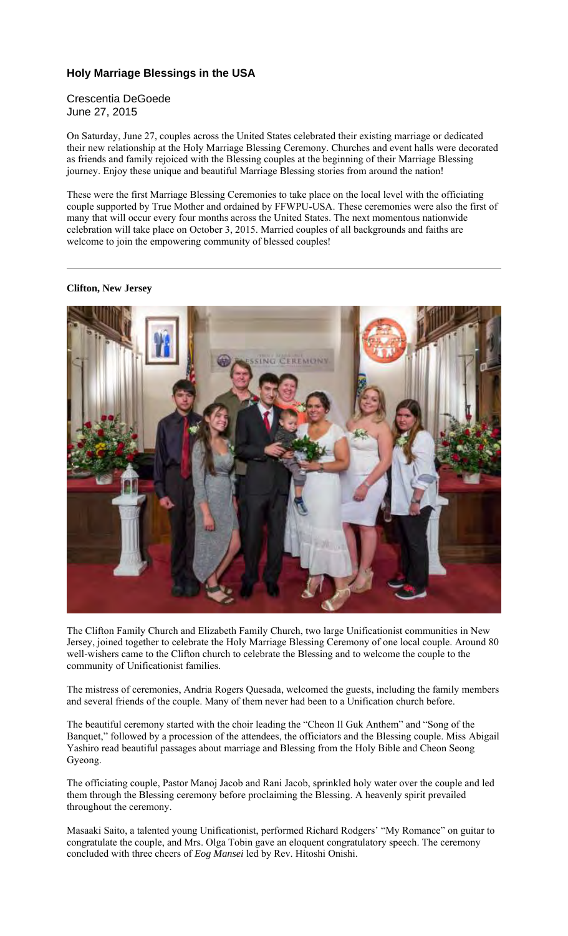## **Holy Marriage Blessings in the USA**

### Crescentia DeGoede June 27, 2015

On Saturday, June 27, couples across the United States celebrated their existing marriage or dedicated their new relationship at the Holy Marriage Blessing Ceremony. Churches and event halls were decorated as friends and family rejoiced with the Blessing couples at the beginning of their Marriage Blessing journey. Enjoy these unique and beautiful Marriage Blessing stories from around the nation!

These were the first Marriage Blessing Ceremonies to take place on the local level with the officiating couple supported by True Mother and ordained by FFWPU-USA. These ceremonies were also the first of many that will occur every four months across the United States. The next momentous nationwide celebration will take place on October 3, 2015. Married couples of all backgrounds and faiths are welcome to join the empowering community of blessed couples!

#### **Clifton, New Jersey**



The Clifton Family Church and Elizabeth Family Church, two large Unificationist communities in New Jersey, joined together to celebrate the Holy Marriage Blessing Ceremony of one local couple. Around 80 well-wishers came to the Clifton church to celebrate the Blessing and to welcome the couple to the community of Unificationist families.

The mistress of ceremonies, Andria Rogers Quesada, welcomed the guests, including the family members and several friends of the couple. Many of them never had been to a Unification church before.

The beautiful ceremony started with the choir leading the "Cheon Il Guk Anthem" and "Song of the Banquet," followed by a procession of the attendees, the officiators and the Blessing couple. Miss Abigail Yashiro read beautiful passages about marriage and Blessing from the Holy Bible and Cheon Seong Gyeong.

The officiating couple, Pastor Manoj Jacob and Rani Jacob, sprinkled holy water over the couple and led them through the Blessing ceremony before proclaiming the Blessing. A heavenly spirit prevailed throughout the ceremony.

Masaaki Saito, a talented young Unificationist, performed Richard Rodgers' "My Romance" on guitar to congratulate the couple, and Mrs. Olga Tobin gave an eloquent congratulatory speech. The ceremony concluded with three cheers of *Eog Mansei* led by Rev. Hitoshi Onishi.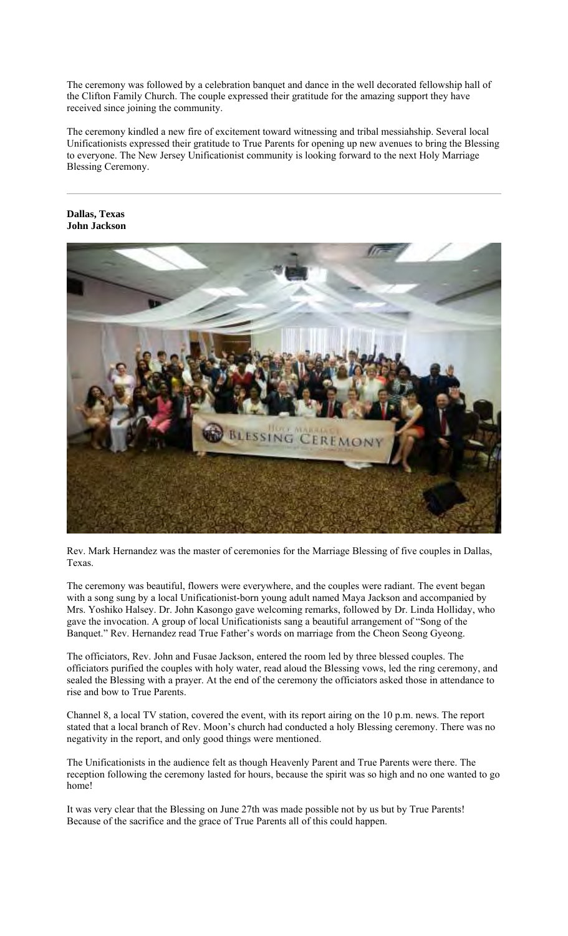The ceremony was followed by a celebration banquet and dance in the well decorated fellowship hall of the Clifton Family Church. The couple expressed their gratitude for the amazing support they have received since joining the community.

The ceremony kindled a new fire of excitement toward witnessing and tribal messiahship. Several local Unificationists expressed their gratitude to True Parents for opening up new avenues to bring the Blessing to everyone. The New Jersey Unificationist community is looking forward to the next Holy Marriage Blessing Ceremony.

#### **Dallas, Texas John Jackson**



Rev. Mark Hernandez was the master of ceremonies for the Marriage Blessing of five couples in Dallas, Texas.

The ceremony was beautiful, flowers were everywhere, and the couples were radiant. The event began with a song sung by a local Unificationist-born young adult named Maya Jackson and accompanied by Mrs. Yoshiko Halsey. Dr. John Kasongo gave welcoming remarks, followed by Dr. Linda Holliday, who gave the invocation. A group of local Unificationists sang a beautiful arrangement of "Song of the Banquet." Rev. Hernandez read True Father's words on marriage from the Cheon Seong Gyeong.

The officiators, Rev. John and Fusae Jackson, entered the room led by three blessed couples. The officiators purified the couples with holy water, read aloud the Blessing vows, led the ring ceremony, and sealed the Blessing with a prayer. At the end of the ceremony the officiators asked those in attendance to rise and bow to True Parents.

Channel 8, a local TV station, covered the event, with its report airing on the 10 p.m. news. The report stated that a local branch of Rev. Moon's church had conducted a holy Blessing ceremony. There was no negativity in the report, and only good things were mentioned.

The Unificationists in the audience felt as though Heavenly Parent and True Parents were there. The reception following the ceremony lasted for hours, because the spirit was so high and no one wanted to go home!

It was very clear that the Blessing on June 27th was made possible not by us but by True Parents! Because of the sacrifice and the grace of True Parents all of this could happen.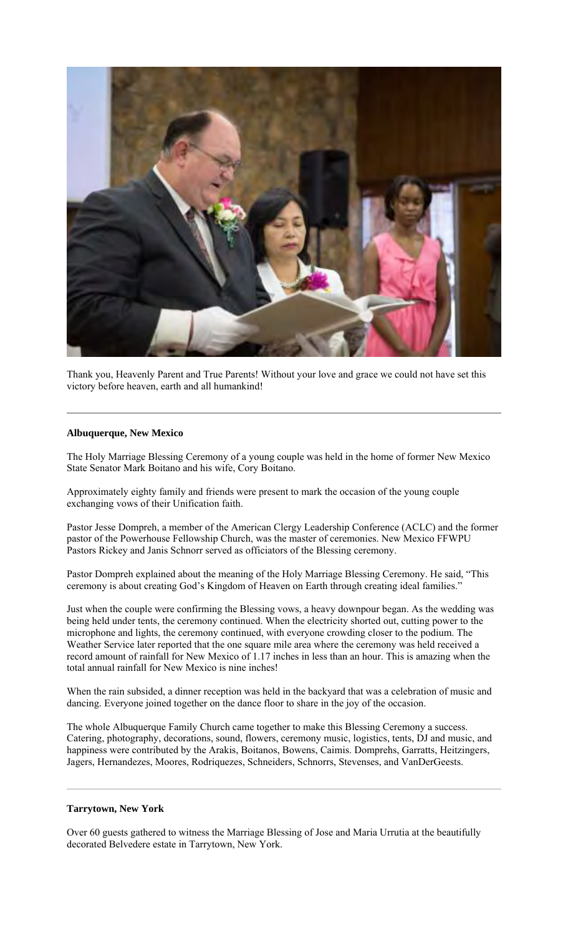

Thank you, Heavenly Parent and True Parents! Without your love and grace we could not have set this victory before heaven, earth and all humankind!

#### **Albuquerque, New Mexico**

The Holy Marriage Blessing Ceremony of a young couple was held in the home of former New Mexico State Senator Mark Boitano and his wife, Cory Boitano.

Approximately eighty family and friends were present to mark the occasion of the young couple exchanging vows of their Unification faith.

Pastor Jesse Dompreh, a member of the American Clergy Leadership Conference (ACLC) and the former pastor of the Powerhouse Fellowship Church, was the master of ceremonies. New Mexico FFWPU Pastors Rickey and Janis Schnorr served as officiators of the Blessing ceremony.

Pastor Dompreh explained about the meaning of the Holy Marriage Blessing Ceremony. He said, "This ceremony is about creating God's Kingdom of Heaven on Earth through creating ideal families."

Just when the couple were confirming the Blessing vows, a heavy downpour began. As the wedding was being held under tents, the ceremony continued. When the electricity shorted out, cutting power to the microphone and lights, the ceremony continued, with everyone crowding closer to the podium. The Weather Service later reported that the one square mile area where the ceremony was held received a record amount of rainfall for New Mexico of 1.17 inches in less than an hour. This is amazing when the total annual rainfall for New Mexico is nine inches!

When the rain subsided, a dinner reception was held in the backyard that was a celebration of music and dancing. Everyone joined together on the dance floor to share in the joy of the occasion.

The whole Albuquerque Family Church came together to make this Blessing Ceremony a success. Catering, photography, decorations, sound, flowers, ceremony music, logistics, tents, DJ and music, and happiness were contributed by the Arakis, Boitanos, Bowens, Caimis. Domprehs, Garratts, Heitzingers, Jagers, Hernandezes, Moores, Rodriquezes, Schneiders, Schnorrs, Stevenses, and VanDerGeests.

#### **Tarrytown, New York**

Over 60 guests gathered to witness the Marriage Blessing of Jose and Maria Urrutia at the beautifully decorated Belvedere estate in Tarrytown, New York.